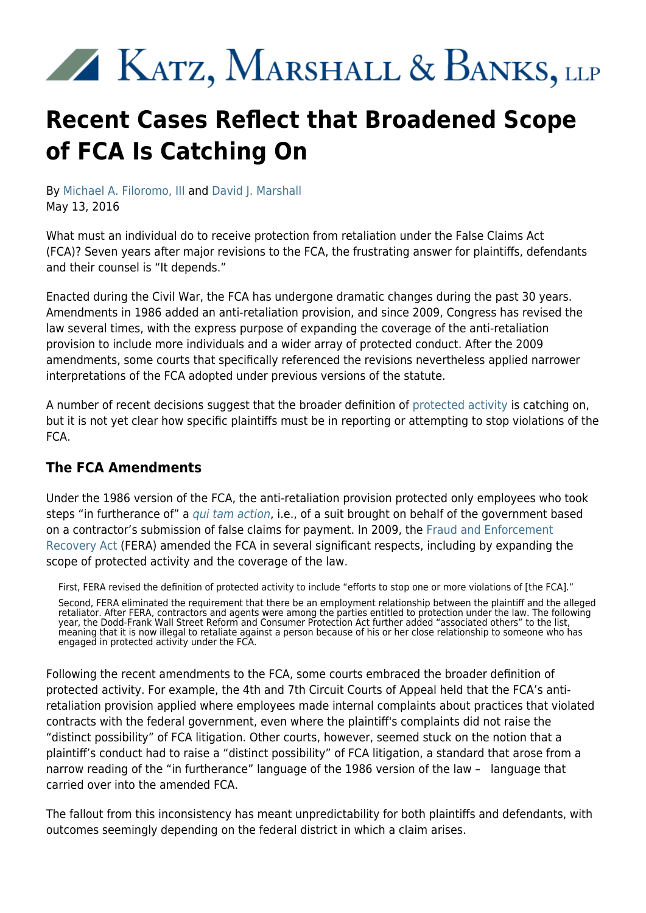# KATZ, MARSHALL & BANKS, LLP

# **Recent Cases Reflect that Broadened Scope of FCA Is Catching On**

By [Michael A. Filoromo, III](https://www.kmblegal.com/attorneys-and-staff/michael-filoromo) and [David J. Marshall](https://www.kmblegal.com/attorneys-and-staff/david-marshall) May 13, 2016

What must an individual do to receive protection from retaliation under the False Claims Act (FCA)? Seven years after major revisions to the FCA, the frustrating answer for plaintiffs, defendants and their counsel is "It depends."

Enacted during the Civil War, the FCA has undergone dramatic changes during the past 30 years. Amendments in 1986 added an anti-retaliation provision, and since 2009, Congress has revised the law several times, with the express purpose of expanding the coverage of the anti-retaliation provision to include more individuals and a wider array of protected conduct. After the 2009 amendments, some courts that specifically referenced the revisions nevertheless applied narrower interpretations of the FCA adopted under previous versions of the statute.

A number of recent decisions suggest that the broader definition of [protected activity](http://www.kmblegal.com/resources/whistleblower-protection-act) is catching on, but it is not yet clear how specific plaintiffs must be in reporting or attempting to stop violations of the FCA.

#### **The FCA Amendments**

Under the 1986 version of the FCA, the anti-retaliation provision protected only employees who took steps "in furtherance of" a [qui tam action](http://www.kmblegal.com/resources/qui-tamfalse-claims-act), i.e., of a suit brought on behalf of the government based on a contractor's submission of false claims for payment. In 2009, the [Fraud and Enforcement](https://www.gpo.gov/fdsys/pkg/PLAW-111publ21/html/PLAW-111publ21.htm) [Recovery Act](https://www.gpo.gov/fdsys/pkg/PLAW-111publ21/html/PLAW-111publ21.htm) (FERA) amended the FCA in several significant respects, including by expanding the scope of protected activity and the coverage of the law.

First, FERA revised the definition of protected activity to include "efforts to stop one or more violations of [the FCA]." Second, FERA eliminated the requirement that there be an employment relationship between the plaintiff and the alleged retaliator. After FERA, contractors and agents were among the parties entitled to protection under the law. The following year, the Dodd-Frank Wall Street Reform and Consumer Protection Act further added "associated others" to the list, meaning that it is now illegal to retaliate against a person because of his or her close relationship to someone who has engaged in protected activity under the FCA.

Following the recent amendments to the FCA, some courts embraced the broader definition of protected activity. For example, the 4th and 7th Circuit Courts of Appeal held that the FCA's antiretaliation provision applied where employees made internal complaints about practices that violated contracts with the federal government, even where the plaintiff's complaints did not raise the "distinct possibility" of FCA litigation. Other courts, however, seemed stuck on the notion that a plaintiff's conduct had to raise a "distinct possibility" of FCA litigation, a standard that arose from a narrow reading of the "in furtherance" language of the 1986 version of the law – language that carried over into the amended FCA.

The fallout from this inconsistency has meant unpredictability for both plaintiffs and defendants, with outcomes seemingly depending on the federal district in which a claim arises.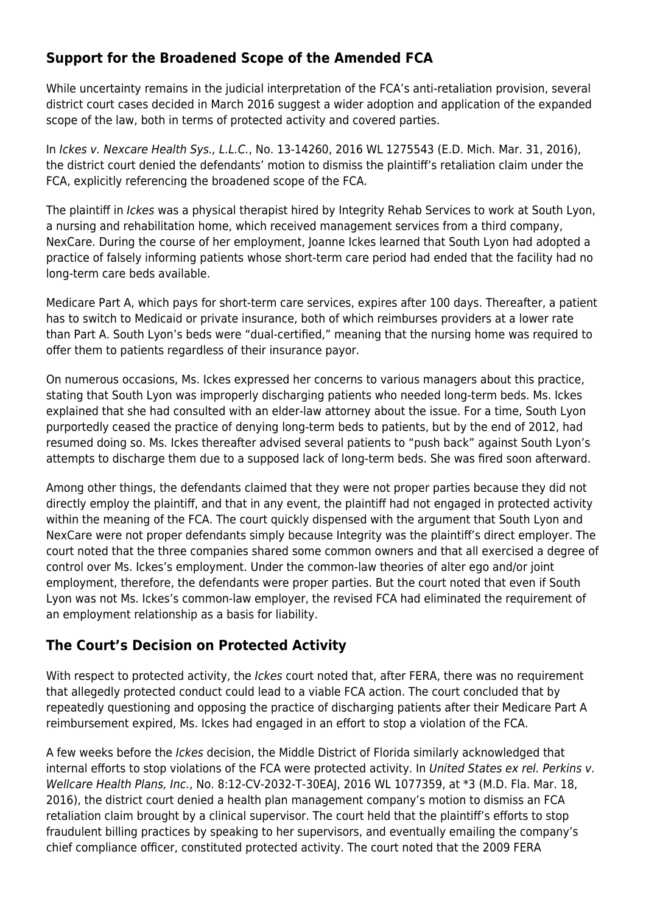#### **Support for the Broadened Scope of the Amended FCA**

While uncertainty remains in the judicial interpretation of the FCA's anti-retaliation provision, several district court cases decided in March 2016 suggest a wider adoption and application of the expanded scope of the law, both in terms of protected activity and covered parties.

In Ickes v. Nexcare Health Sys., L.L.C., No. 13-14260, 2016 WL 1275543 (E.D. Mich. Mar. 31, 2016), the district court denied the defendants' motion to dismiss the plaintiff's retaliation claim under the FCA, explicitly referencing the broadened scope of the FCA.

The plaintiff in Ickes was a physical therapist hired by Integrity Rehab Services to work at South Lyon, a nursing and rehabilitation home, which received management services from a third company, NexCare. During the course of her employment, Joanne Ickes learned that South Lyon had adopted a practice of falsely informing patients whose short-term care period had ended that the facility had no long-term care beds available.

Medicare Part A, which pays for short-term care services, expires after 100 days. Thereafter, a patient has to switch to Medicaid or private insurance, both of which reimburses providers at a lower rate than Part A. South Lyon's beds were "dual-certified," meaning that the nursing home was required to offer them to patients regardless of their insurance payor.

On numerous occasions, Ms. Ickes expressed her concerns to various managers about this practice, stating that South Lyon was improperly discharging patients who needed long-term beds. Ms. Ickes explained that she had consulted with an elder-law attorney about the issue. For a time, South Lyon purportedly ceased the practice of denying long-term beds to patients, but by the end of 2012, had resumed doing so. Ms. Ickes thereafter advised several patients to "push back" against South Lyon's attempts to discharge them due to a supposed lack of long-term beds. She was fired soon afterward.

Among other things, the defendants claimed that they were not proper parties because they did not directly employ the plaintiff, and that in any event, the plaintiff had not engaged in protected activity within the meaning of the FCA. The court quickly dispensed with the argument that South Lyon and NexCare were not proper defendants simply because Integrity was the plaintiff's direct employer. The court noted that the three companies shared some common owners and that all exercised a degree of control over Ms. Ickes's employment. Under the common-law theories of alter ego and/or joint employment, therefore, the defendants were proper parties. But the court noted that even if South Lyon was not Ms. Ickes's common-law employer, the revised FCA had eliminated the requirement of an employment relationship as a basis for liability.

#### **The Court's Decision on Protected Activity**

With respect to protected activity, the Ickes court noted that, after FERA, there was no requirement that allegedly protected conduct could lead to a viable FCA action. The court concluded that by repeatedly questioning and opposing the practice of discharging patients after their Medicare Part A reimbursement expired, Ms. Ickes had engaged in an effort to stop a violation of the FCA.

A few weeks before the Ickes decision, the Middle District of Florida similarly acknowledged that internal efforts to stop violations of the FCA were protected activity. In United States ex rel. Perkins v. Wellcare Health Plans, Inc., No. 8:12-CV-2032-T-30EAJ, 2016 WL 1077359, at \*3 (M.D. Fla. Mar. 18, 2016), the district court denied a health plan management company's motion to dismiss an FCA retaliation claim brought by a clinical supervisor. The court held that the plaintiff's efforts to stop fraudulent billing practices by speaking to her supervisors, and eventually emailing the company's chief compliance officer, constituted protected activity. The court noted that the 2009 FERA